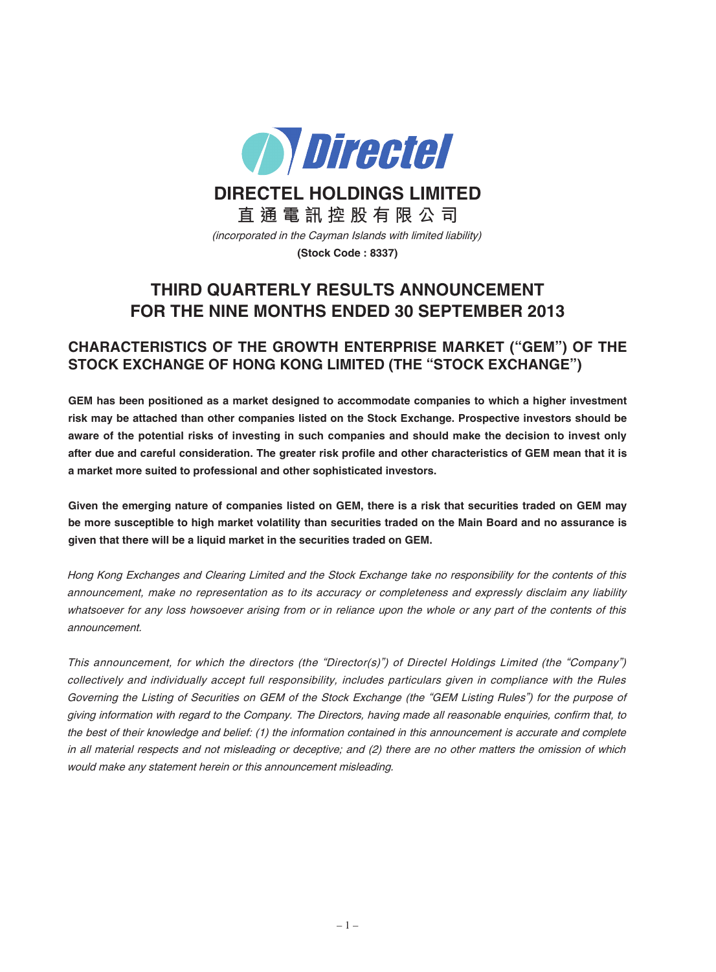

**DIRECTEL HOLDINGS LIMITED**

**直 通 電 訊 控 股 有 限 公 司** (incorporated in the Cayman Islands with limited liability)

### **(Stock Code : 8337)**

# **THIRD QUARTERLY RESULTS ANNOUNCEMENT FOR THE NINE MONTHS ENDED 30 SEPTEMBER 2013**

## **CHARACTERISTICS OF THE GROWTH ENTERPRISE MARKET ("GEM") OF THE STOCK EXCHANGE OF HONG KONG LIMITED (THE "STOCK EXCHANGE")**

**GEM has been positioned as a market designed to accommodate companies to which a higher investment risk may be attached than other companies listed on the Stock Exchange. Prospective investors should be** aware of the potential risks of investing in such companies and should make the decision to invest only after due and careful consideration. The greater risk profile and other characteristics of GEM mean that it is **a market more suited to professional and other sophisticated investors.**

Given the emerging nature of companies listed on GEM, there is a risk that securities traded on GEM may be more susceptible to high market volatility than securities traded on the Main Board and no assurance is **given that there will be a liquid market in the securities traded on GEM.**

Hong Kong Exchanges and Clearing Limited and the Stock Exchange take no responsibility for the contents of this announcement, make no representation as to its accuracy or completeness and expressly disclaim any liability whatsoever for any loss howsoever arising from or in reliance upon the whole or any part of the contents of this announcement.

This announcement, for which the directors (the "Director(s)") of Directel Holdings Limited (the "Company") collectively and individually accept full responsibility, includes particulars given in compliance with the Rules Governing the Listing of Securities on GEM of the Stock Exchange (the "GEM Listing Rules") for the purpose of giving information with regard to the Company. The Directors, having made all reasonable enquiries, confirm that, to the best of their knowledge and belief: (1) the information contained in this announcement is accurate and complete in all material respects and not misleading or deceptive; and (2) there are no other matters the omission of which would make any statement herein or this announcement misleading.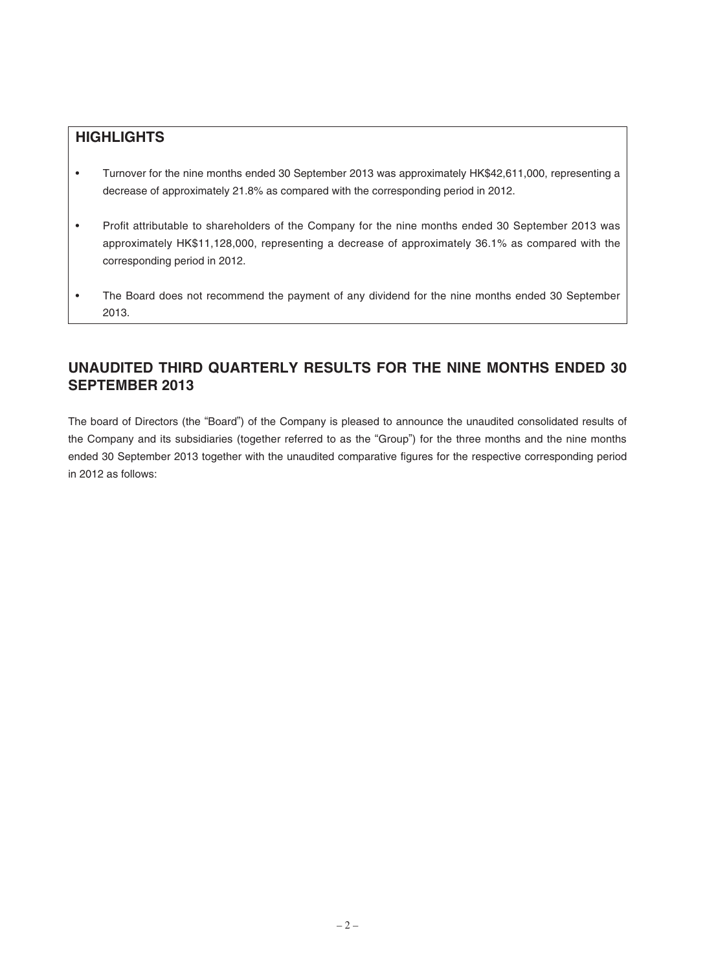# **HIGHLIGHTS**

- Turnover for the nine months ended 30 September 2013 was approximately HK\$42,611,000, representing a decrease of approximately 21.8% as compared with the corresponding period in 2012.
- Profit attributable to shareholders of the Company for the nine months ended 30 September 2013 was approximately HK\$11,128,000, representing a decrease of approximately 36.1% as compared with the corresponding period in 2012.
- The Board does not recommend the payment of any dividend for the nine months ended 30 September 2013.

# **UNAUDITED THIRD QUARTERLY RESULTS FOR THE NINE MONTHS ENDED 30 SEPTEMBER 2013**

The board of Directors (the "Board") of the Company is pleased to announce the unaudited consolidated results of the Company and its subsidiaries (together referred to as the "Group") for the three months and the nine months ended 30 September 2013 together with the unaudited comparative figures for the respective corresponding period in 2012 as follows: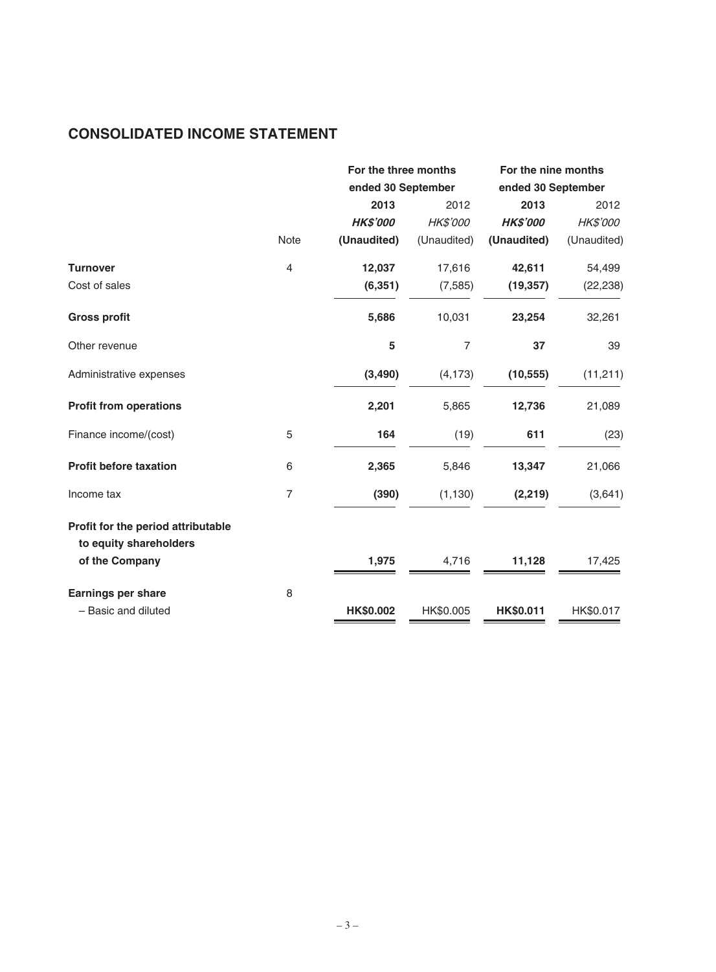# **CONSOLIDATED INCOME STATEMENT**

|                                    |                | For the three months<br>ended 30 September |                | For the nine months |             |
|------------------------------------|----------------|--------------------------------------------|----------------|---------------------|-------------|
|                                    |                |                                            |                | ended 30 September  |             |
|                                    |                | 2013                                       | 2012           | 2013                | 2012        |
|                                    |                | <b>HK\$'000</b>                            | HK\$'000       | <b>HK\$'000</b>     | HK\$'000    |
|                                    | <b>Note</b>    | (Unaudited)                                | (Unaudited)    | (Unaudited)         | (Unaudited) |
| <b>Turnover</b>                    | $\overline{4}$ | 12,037                                     | 17,616         | 42,611              | 54,499      |
| Cost of sales                      |                | (6, 351)                                   | (7, 585)       | (19, 357)           | (22, 238)   |
| <b>Gross profit</b>                |                | 5,686                                      | 10,031         | 23,254              | 32,261      |
| Other revenue                      |                | 5                                          | $\overline{7}$ | 37                  | 39          |
| Administrative expenses            |                | (3, 490)                                   | (4, 173)       | (10, 555)           | (11, 211)   |
| <b>Profit from operations</b>      |                | 2,201                                      | 5,865          | 12,736              | 21,089      |
| Finance income/(cost)              | 5              | 164                                        | (19)           | 611                 | (23)        |
| <b>Profit before taxation</b>      | 6              | 2,365                                      | 5,846          | 13,347              | 21,066      |
| Income tax                         | $\overline{7}$ | (390)                                      | (1, 130)       | (2, 219)            | (3,641)     |
| Profit for the period attributable |                |                                            |                |                     |             |
| to equity shareholders             |                |                                            |                |                     |             |
| of the Company                     |                | 1,975                                      | 4,716          | 11,128              | 17,425      |
| Earnings per share                 | 8              |                                            |                |                     |             |
| - Basic and diluted                |                | HK\$0.002                                  | HK\$0.005      | HK\$0.011           | HK\$0.017   |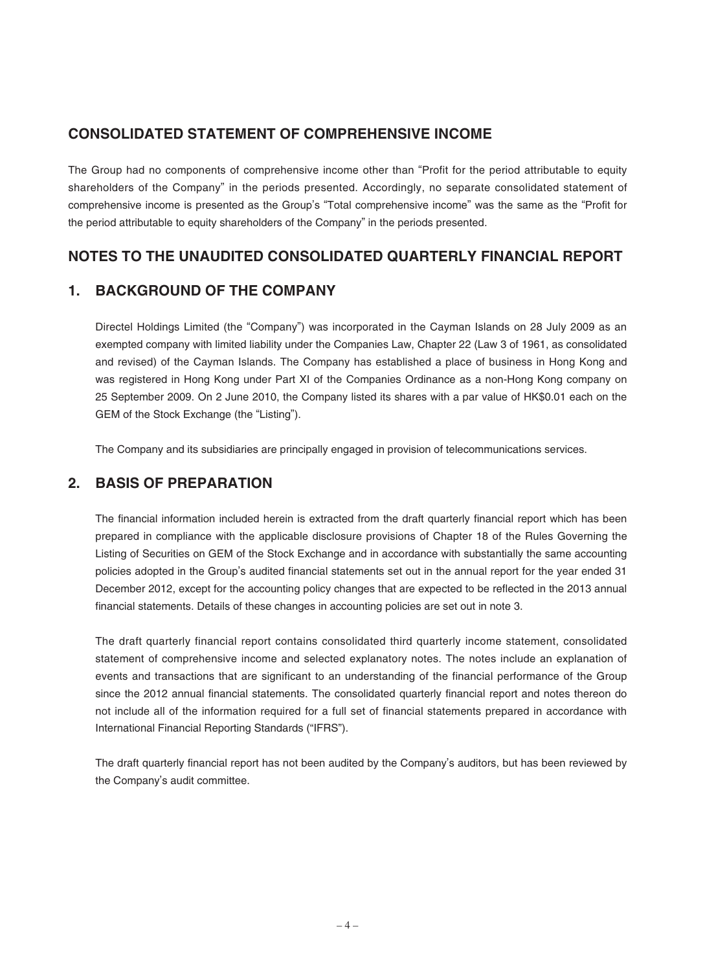# **CONSOLIDATED STATEMENT OF COMPREHENSIVE INCOME**

The Group had no components of comprehensive income other than "Profit for the period attributable to equity shareholders of the Company" in the periods presented. Accordingly, no separate consolidated statement of comprehensive income is presented as the Group's "Total comprehensive income" was the same as the "Profit for the period attributable to equity shareholders of the Company" in the periods presented.

# **NOTES TO THE UNAUDITED CONSOLIDATED QUARTERLY FINANCIAL REPORT**

### **1. BACKGROUND OF THE COMPANY**

Directel Holdings Limited (the "Company") was incorporated in the Cayman Islands on 28 July 2009 as an exempted company with limited liability under the Companies Law, Chapter 22 (Law 3 of 1961, as consolidated and revised) of the Cayman Islands. The Company has established a place of business in Hong Kong and was registered in Hong Kong under Part XI of the Companies Ordinance as a non-Hong Kong company on 25 September 2009. On 2 June 2010, the Company listed its shares with a par value of HK\$0.01 each on the GEM of the Stock Exchange (the "Listing").

The Company and its subsidiaries are principally engaged in provision of telecommunications services.

### **2. BASIS OF PREPARATION**

The financial information included herein is extracted from the draft quarterly financial report which has been prepared in compliance with the applicable disclosure provisions of Chapter 18 of the Rules Governing the Listing of Securities on GEM of the Stock Exchange and in accordance with substantially the same accounting policies adopted in the Group's audited financial statements set out in the annual report for the year ended 31 December 2012, except for the accounting policy changes that are expected to be reflected in the 2013 annual financial statements. Details of these changes in accounting policies are set out in note 3.

The draft quarterly financial report contains consolidated third quarterly income statement, consolidated statement of comprehensive income and selected explanatory notes. The notes include an explanation of events and transactions that are significant to an understanding of the financial performance of the Group since the 2012 annual financial statements. The consolidated quarterly financial report and notes thereon do not include all of the information required for a full set of financial statements prepared in accordance with International Financial Reporting Standards ("IFRS").

The draft quarterly financial report has not been audited by the Company's auditors, but has been reviewed by the Company's audit committee.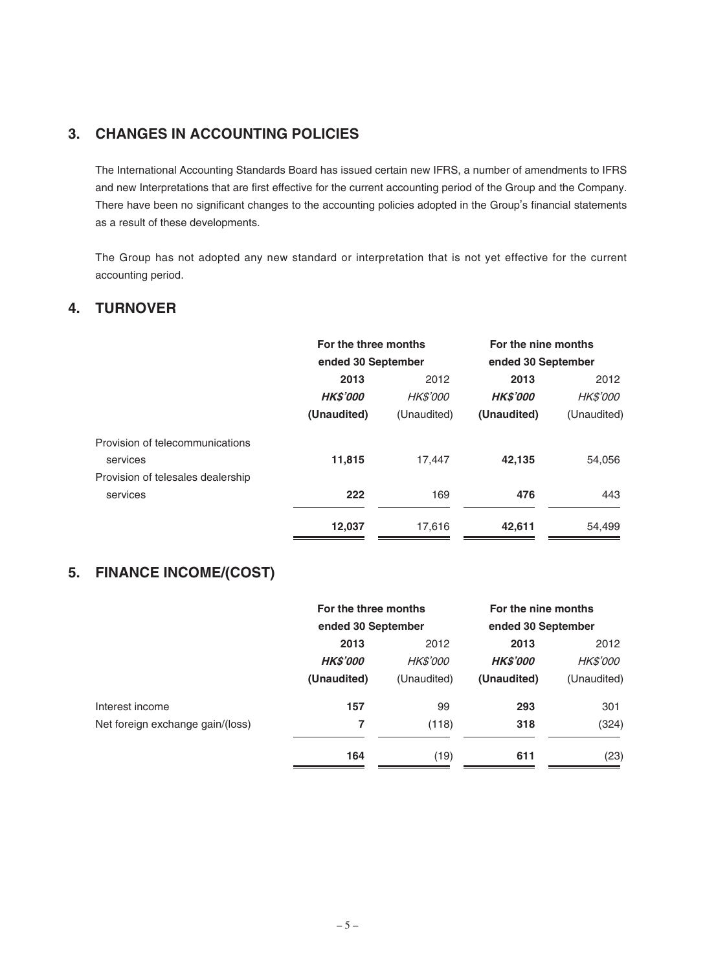# **3. CHANGES IN ACCOUNTING POLICIES**

The International Accounting Standards Board has issued certain new IFRS, a number of amendments to IFRS and new Interpretations that are first effective for the current accounting period of the Group and the Company. There have been no significant changes to the accounting policies adopted in the Group's financial statements as a result of these developments.

The Group has not adopted any new standard or interpretation that is not yet effective for the current accounting period.

### **4. TURNOVER**

|                                   | For the three months |                 | For the nine months |                 |
|-----------------------------------|----------------------|-----------------|---------------------|-----------------|
|                                   | ended 30 September   |                 | ended 30 September  |                 |
|                                   | 2013                 | 2012            |                     | 2012            |
|                                   | <b>HK\$'000</b>      | <b>HK\$'000</b> | <b>HKS'000</b>      | <i>HK\$'000</i> |
|                                   | (Unaudited)          | (Unaudited)     | (Unaudited)         | (Unaudited)     |
| Provision of telecommunications   |                      |                 |                     |                 |
| services                          | 11,815               | 17,447          | 42,135              | 54,056          |
| Provision of telesales dealership |                      |                 |                     |                 |
| services                          | 222                  | 169             | 476                 | 443             |
|                                   | 12,037               | 17.616          | 42,611              | 54.499          |

# **5. FINANCE INCOME/(COST)**

|                                  | For the three months |                    | For the nine months |                    |
|----------------------------------|----------------------|--------------------|---------------------|--------------------|
|                                  |                      | ended 30 September |                     | ended 30 September |
|                                  | 2013<br>2012         |                    | 2013                | 2012               |
|                                  | <b>HK\$'000</b>      | <b>HK\$'000</b>    | <b>HK\$'000</b>     | <b>HK\$'000</b>    |
|                                  | (Unaudited)          | (Unaudited)        | (Unaudited)         | (Unaudited)        |
| Interest income                  | 157                  | 99                 | 293                 | 301                |
| Net foreign exchange gain/(loss) | 7                    | (118)              | 318                 | (324)              |
|                                  | 164                  | (19)               | 611                 | (23)               |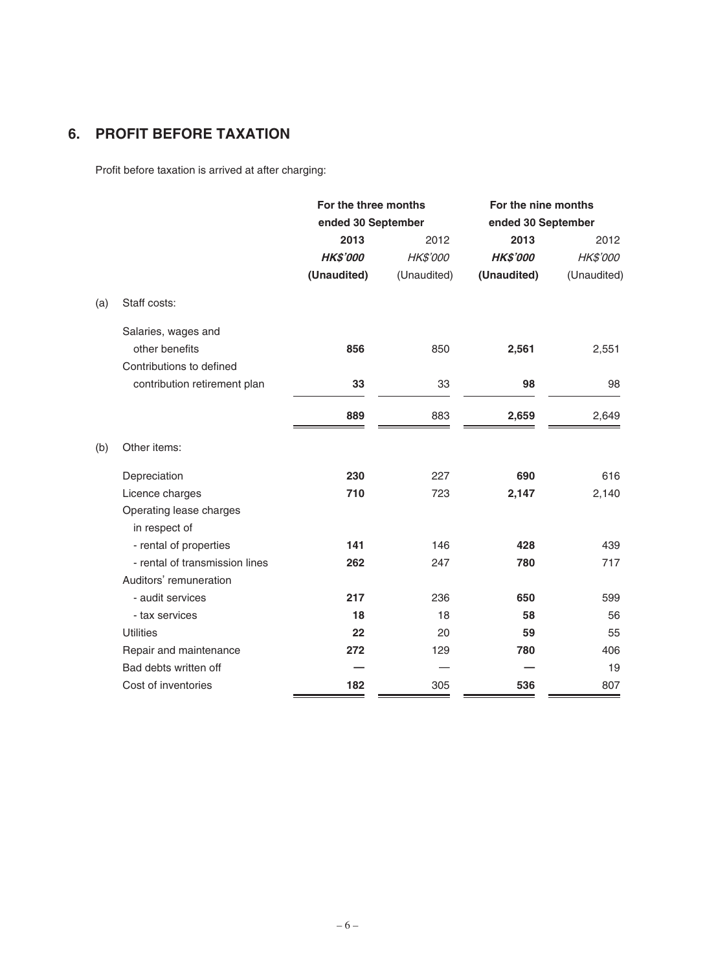# **6. PROFIT BEFORE TAXATION**

Profit before taxation is arrived at after charging:

|     |                                | For the three months<br>ended 30 September |             | For the nine months<br>ended 30 September |             |
|-----|--------------------------------|--------------------------------------------|-------------|-------------------------------------------|-------------|
|     |                                |                                            |             |                                           |             |
|     |                                | 2013                                       | 2012        | 2013                                      | 2012        |
|     |                                | <b>HK\$'000</b>                            | HK\$'000    | <b>HK\$'000</b>                           | HK\$'000    |
|     |                                | (Unaudited)                                | (Unaudited) | (Unaudited)                               | (Unaudited) |
| (a) | Staff costs:                   |                                            |             |                                           |             |
|     | Salaries, wages and            |                                            |             |                                           |             |
|     | other benefits                 | 856                                        | 850         | 2,561                                     | 2,551       |
|     | Contributions to defined       |                                            |             |                                           |             |
|     | contribution retirement plan   | 33                                         | 33          | 98                                        | 98          |
|     |                                | 889                                        | 883         | 2,659                                     | 2,649       |
| (b) | Other items:                   |                                            |             |                                           |             |
|     | Depreciation                   | 230                                        | 227         | 690                                       | 616         |
|     | Licence charges                | 710                                        | 723         | 2,147                                     | 2,140       |
|     | Operating lease charges        |                                            |             |                                           |             |
|     | in respect of                  |                                            |             |                                           |             |
|     | - rental of properties         | 141                                        | 146         | 428                                       | 439         |
|     | - rental of transmission lines | 262                                        | 247         | 780                                       | 717         |
|     | Auditors' remuneration         |                                            |             |                                           |             |
|     | - audit services               | 217                                        | 236         | 650                                       | 599         |
|     | - tax services                 | 18                                         | 18          | 58                                        | 56          |
|     | <b>Utilities</b>               | 22                                         | 20          | 59                                        | 55          |
|     | Repair and maintenance         | 272                                        | 129         | 780                                       | 406         |
|     | Bad debts written off          |                                            |             |                                           | 19          |
|     | Cost of inventories            | 182                                        | 305         | 536                                       | 807         |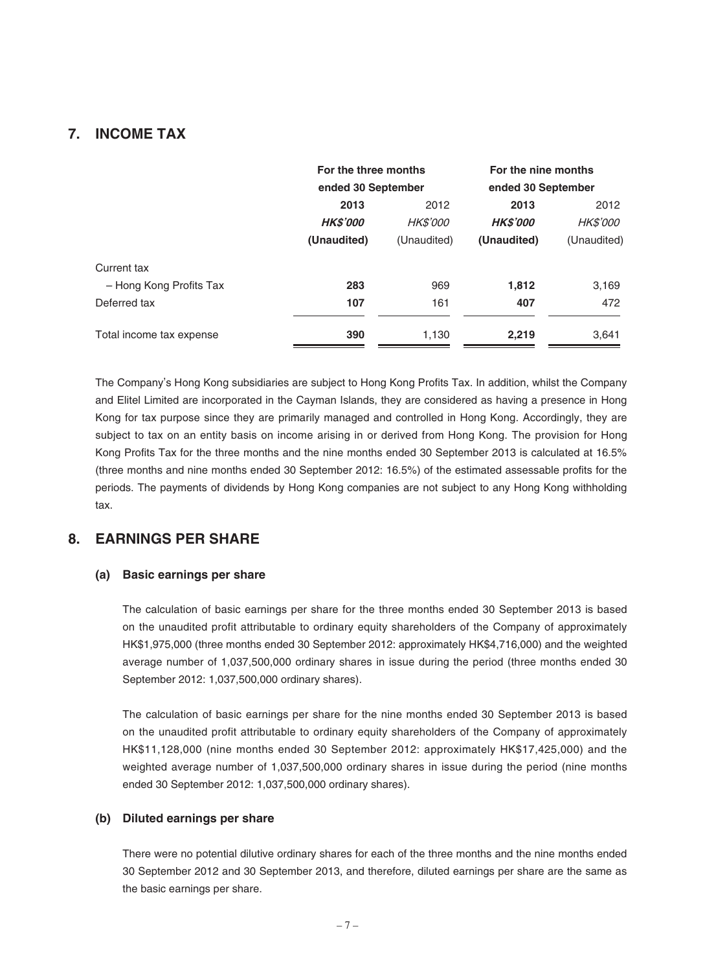### **7. INCOME TAX**

|                          | For the three months<br>ended 30 September |                 | For the nine months<br>ended 30 September |                 |
|--------------------------|--------------------------------------------|-----------------|-------------------------------------------|-----------------|
|                          | 2013                                       | 2012            | 2013                                      | 2012            |
|                          | <b>HKS'000</b>                             | <i>HK\$'000</i> | <b>HKS'000</b>                            | <i>HK\$'000</i> |
|                          | (Unaudited)                                | (Unaudited)     | (Unaudited)                               | (Unaudited)     |
| Current tax              |                                            |                 |                                           |                 |
| - Hong Kong Profits Tax  | 283                                        | 969             | 1,812                                     | 3,169           |
| Deferred tax             | 107                                        | 161             | 407                                       | 472             |
| Total income tax expense | 390                                        | 1,130           | 2,219                                     | 3,641           |

The Company's Hong Kong subsidiaries are subject to Hong Kong Profits Tax. In addition, whilst the Company and Elitel Limited are incorporated in the Cayman Islands, they are considered as having a presence in Hong Kong for tax purpose since they are primarily managed and controlled in Hong Kong. Accordingly, they are subject to tax on an entity basis on income arising in or derived from Hong Kong. The provision for Hong Kong Profits Tax for the three months and the nine months ended 30 September 2013 is calculated at 16.5% (three months and nine months ended 30 September 2012: 16.5%) of the estimated assessable profits for the periods. The payments of dividends by Hong Kong companies are not subject to any Hong Kong withholding tax.

### **8. EARNINGS PER SHARE**

#### **(a) Basic earnings per share**

The calculation of basic earnings per share for the three months ended 30 September 2013 is based on the unaudited profit attributable to ordinary equity shareholders of the Company of approximately HK\$1,975,000 (three months ended 30 September 2012: approximately HK\$4,716,000) and the weighted average number of 1,037,500,000 ordinary shares in issue during the period (three months ended 30 September 2012: 1,037,500,000 ordinary shares).

The calculation of basic earnings per share for the nine months ended 30 September 2013 is based on the unaudited profit attributable to ordinary equity shareholders of the Company of approximately HK\$11,128,000 (nine months ended 30 September 2012: approximately HK\$17,425,000) and the weighted average number of 1,037,500,000 ordinary shares in issue during the period (nine months ended 30 September 2012: 1,037,500,000 ordinary shares).

#### **(b) Diluted earnings per share**

There were no potential dilutive ordinary shares for each of the three months and the nine months ended 30 September 2012 and 30 September 2013, and therefore, diluted earnings per share are the same as the basic earnings per share.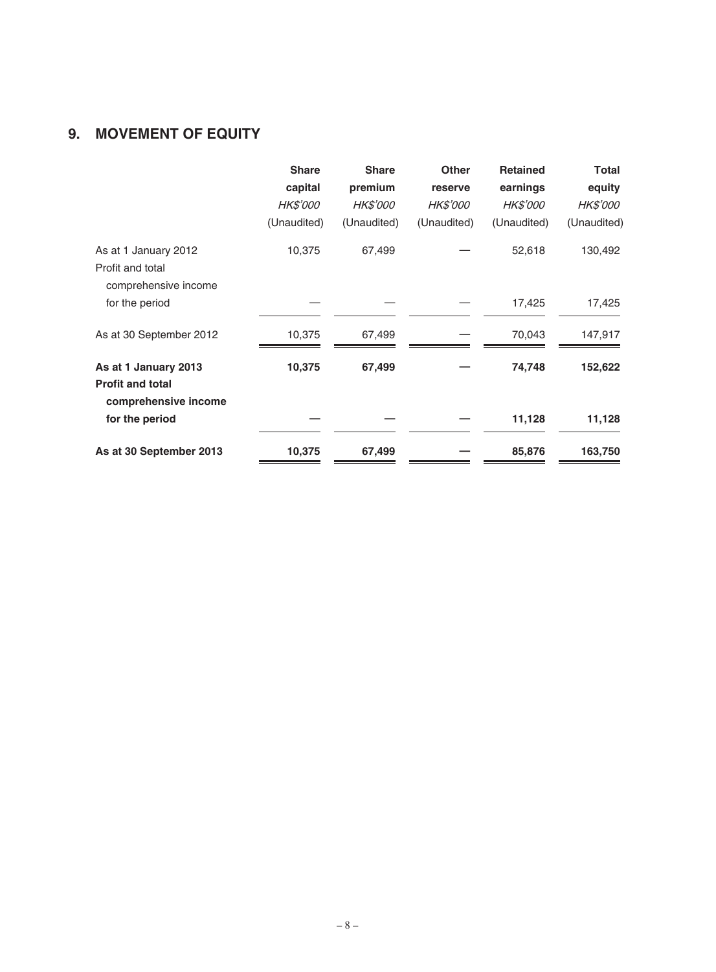# **9. MOVEMENT OF EQUITY**

|                                                 | <b>Share</b><br>capital | <b>Share</b><br>premium | <b>Other</b><br>reserve | <b>Retained</b><br>earnings | <b>Total</b><br>equity |
|-------------------------------------------------|-------------------------|-------------------------|-------------------------|-----------------------------|------------------------|
|                                                 | <i>HK\$'000</i>         | <b>HK\$'000</b>         | <i>HK\$'000</i>         | <i>HK\$'000</i>             | <i>HK\$'000</i>        |
|                                                 |                         |                         |                         |                             |                        |
|                                                 | (Unaudited)             | (Unaudited)             | (Unaudited)             | (Unaudited)                 | (Unaudited)            |
| As at 1 January 2012                            | 10,375                  | 67,499                  |                         | 52,618                      | 130,492                |
| Profit and total                                |                         |                         |                         |                             |                        |
| comprehensive income                            |                         |                         |                         |                             |                        |
| for the period                                  |                         |                         |                         | 17,425                      | 17,425                 |
|                                                 |                         |                         |                         |                             |                        |
| As at 30 September 2012                         | 10,375                  | 67,499                  |                         | 70,043                      | 147,917                |
|                                                 |                         |                         |                         |                             |                        |
| As at 1 January 2013                            | 10,375                  | 67,499                  |                         | 74,748                      | 152,622                |
| <b>Profit and total</b><br>comprehensive income |                         |                         |                         |                             |                        |
| for the period                                  |                         |                         |                         | 11,128                      | 11,128                 |
| As at 30 September 2013                         | 10,375                  | 67,499                  |                         | 85,876                      | 163,750                |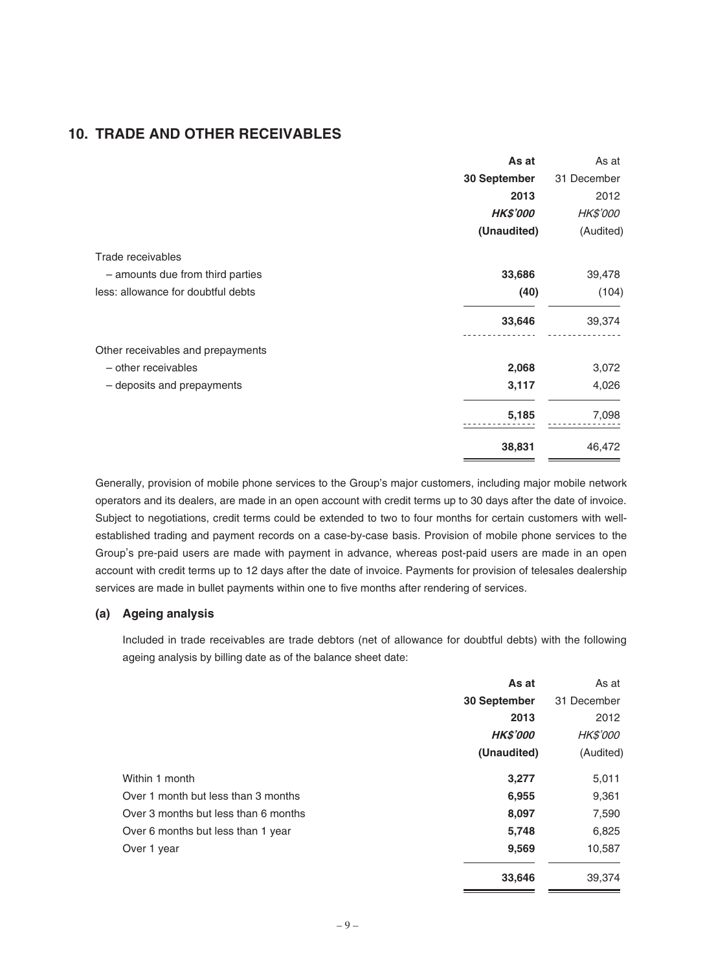### **10. TRADE AND OTHER RECEIVABLES**

|                                    | As at           | As at           |
|------------------------------------|-----------------|-----------------|
|                                    | 30 September    | 31 December     |
|                                    | 2013            | 2012            |
|                                    | <b>HK\$'000</b> | <b>HK\$'000</b> |
|                                    | (Unaudited)     | (Audited)       |
| Trade receivables                  |                 |                 |
| - amounts due from third parties   | 33,686          | 39,478          |
| less: allowance for doubtful debts | (40)            | (104)           |
|                                    | 33,646          | 39,374          |
| Other receivables and prepayments  |                 |                 |
| - other receivables                | 2,068           | 3,072           |
| - deposits and prepayments         | 3,117           | 4,026           |
|                                    | 5,185           | 7,098           |
|                                    | 38,831          | 46,472          |

Generally, provision of mobile phone services to the Group's major customers, including major mobile network operators and its dealers, are made in an open account with credit terms up to 30 days after the date of invoice. Subject to negotiations, credit terms could be extended to two to four months for certain customers with wellestablished trading and payment records on a case-by-case basis. Provision of mobile phone services to the Group's pre-paid users are made with payment in advance, whereas post-paid users are made in an open account with credit terms up to 12 days after the date of invoice. Payments for provision of telesales dealership services are made in bullet payments within one to five months after rendering of services.

#### **(a) Ageing analysis**

Included in trade receivables are trade debtors (net of allowance for doubtful debts) with the following ageing analysis by billing date as of the balance sheet date:

|                                      | As at           | As at           |
|--------------------------------------|-----------------|-----------------|
|                                      | 30 September    | 31 December     |
|                                      | 2013            | 2012            |
|                                      | <b>HK\$'000</b> | <b>HK\$'000</b> |
|                                      | (Unaudited)     | (Audited)       |
| Within 1 month                       | 3,277           | 5,011           |
| Over 1 month but less than 3 months  | 6,955           | 9,361           |
| Over 3 months but less than 6 months | 8,097           | 7,590           |
| Over 6 months but less than 1 year   | 5,748           | 6,825           |
| Over 1 year                          | 9,569           | 10,587          |
|                                      | 33,646          | 39,374          |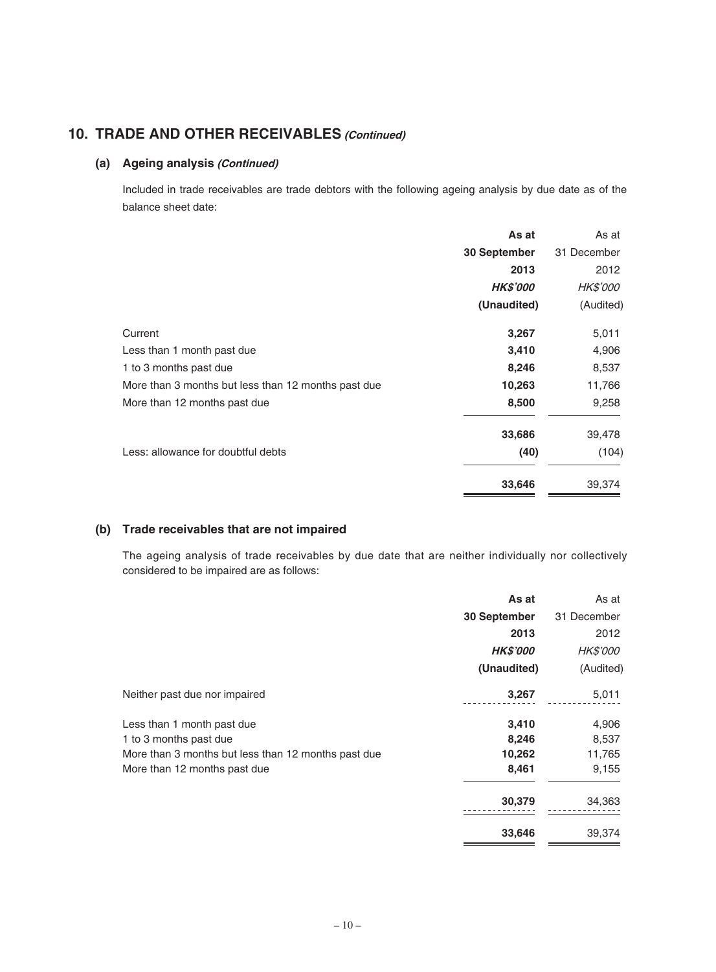## **10. TRADE AND OTHER RECEIVABLES (Continued)**

#### **(a) Ageing analysis (Continued)**

Included in trade receivables are trade debtors with the following ageing analysis by due date as of the balance sheet date:

|                                                     | As at           | As at           |
|-----------------------------------------------------|-----------------|-----------------|
|                                                     | 30 September    | 31 December     |
|                                                     | 2013            | 2012            |
|                                                     | <b>HK\$'000</b> | <b>HK\$'000</b> |
|                                                     | (Unaudited)     | (Audited)       |
| Current                                             | 3,267           | 5,011           |
| Less than 1 month past due                          | 3,410           | 4,906           |
| 1 to 3 months past due                              | 8,246           | 8,537           |
| More than 3 months but less than 12 months past due | 10,263          | 11,766          |
| More than 12 months past due                        | 8,500           | 9,258           |
|                                                     | 33,686          | 39,478          |
| Less: allowance for doubtful debts                  | (40)            | (104)           |
|                                                     | 33,646          | 39,374          |

#### **(b) Trade receivables that are not impaired**

The ageing analysis of trade receivables by due date that are neither individually nor collectively considered to be impaired are as follows:

|                                                     | As at           | As at           |
|-----------------------------------------------------|-----------------|-----------------|
|                                                     | 30 September    | 31 December     |
|                                                     | 2013            | 2012            |
|                                                     | <b>HK\$'000</b> | <b>HK\$'000</b> |
|                                                     | (Unaudited)     | (Audited)       |
| Neither past due nor impaired                       | 3,267           | 5,011           |
| Less than 1 month past due                          | 3,410           | 4,906           |
| 1 to 3 months past due                              | 8,246           | 8,537           |
| More than 3 months but less than 12 months past due | 10,262          | 11,765          |
| More than 12 months past due                        | 8,461           | 9,155           |
|                                                     | 30,379          | 34,363          |
|                                                     | 33,646          | 39,374          |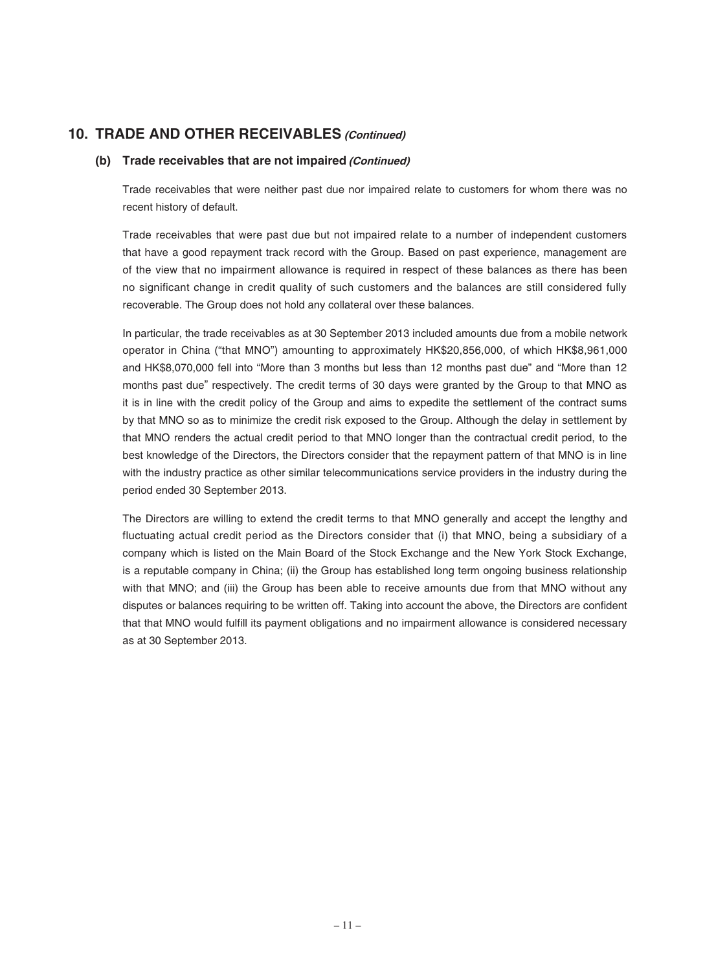### **10. TRADE AND OTHER RECEIVABLES (Continued)**

#### **(b) Trade receivables that are not impaired (Continued)**

Trade receivables that were neither past due nor impaired relate to customers for whom there was no recent history of default.

Trade receivables that were past due but not impaired relate to a number of independent customers that have a good repayment track record with the Group. Based on past experience, management are of the view that no impairment allowance is required in respect of these balances as there has been no significant change in credit quality of such customers and the balances are still considered fully recoverable. The Group does not hold any collateral over these balances.

In particular, the trade receivables as at 30 September 2013 included amounts due from a mobile network operator in China ("that MNO") amounting to approximately HK\$20,856,000, of which HK\$8,961,000 and HK\$8,070,000 fell into "More than 3 months but less than 12 months past due" and "More than 12 months past due" respectively. The credit terms of 30 days were granted by the Group to that MNO as it is in line with the credit policy of the Group and aims to expedite the settlement of the contract sums by that MNO so as to minimize the credit risk exposed to the Group. Although the delay in settlement by that MNO renders the actual credit period to that MNO longer than the contractual credit period, to the best knowledge of the Directors, the Directors consider that the repayment pattern of that MNO is in line with the industry practice as other similar telecommunications service providers in the industry during the period ended 30 September 2013.

The Directors are willing to extend the credit terms to that MNO generally and accept the lengthy and fluctuating actual credit period as the Directors consider that (i) that MNO, being a subsidiary of a company which is listed on the Main Board of the Stock Exchange and the New York Stock Exchange, is a reputable company in China; (ii) the Group has established long term ongoing business relationship with that MNO; and (iii) the Group has been able to receive amounts due from that MNO without any disputes or balances requiring to be written off. Taking into account the above, the Directors are confident that that MNO would fulfill its payment obligations and no impairment allowance is considered necessary as at 30 September 2013.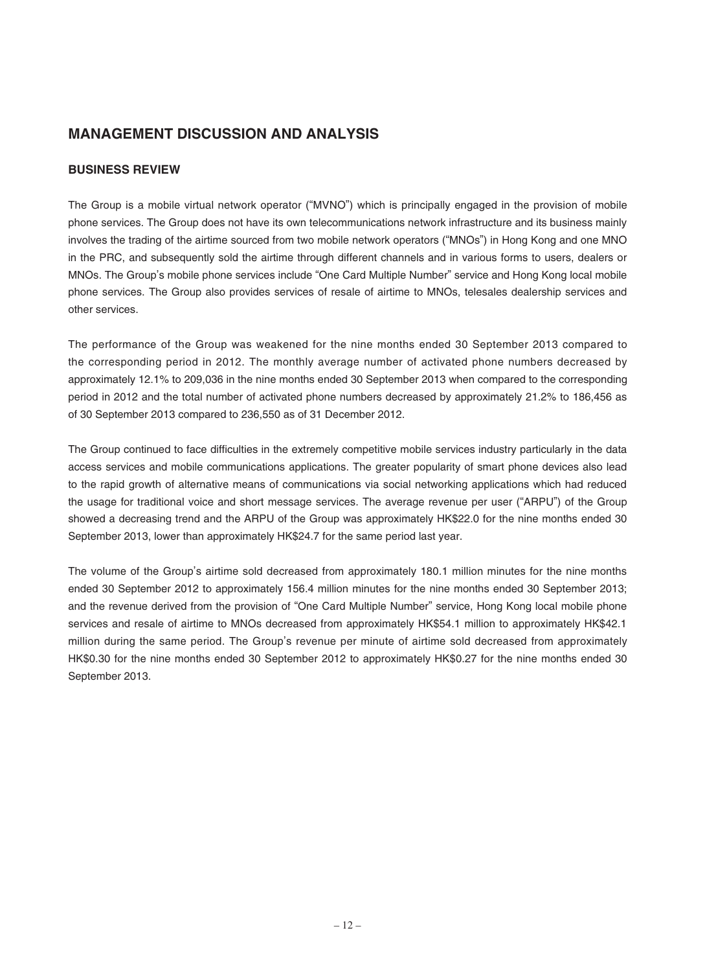## **MANAGEMENT DISCUSSION AND ANALYSIS**

#### **BUSINESS REVIEW**

The Group is a mobile virtual network operator ("MVNO") which is principally engaged in the provision of mobile phone services. The Group does not have its own telecommunications network infrastructure and its business mainly involves the trading of the airtime sourced from two mobile network operators ("MNOs") in Hong Kong and one MNO in the PRC, and subsequently sold the airtime through different channels and in various forms to users, dealers or MNOs. The Group's mobile phone services include "One Card Multiple Number" service and Hong Kong local mobile phone services. The Group also provides services of resale of airtime to MNOs, telesales dealership services and other services.

The performance of the Group was weakened for the nine months ended 30 September 2013 compared to the corresponding period in 2012. The monthly average number of activated phone numbers decreased by approximately 12.1% to 209,036 in the nine months ended 30 September 2013 when compared to the corresponding period in 2012 and the total number of activated phone numbers decreased by approximately 21.2% to 186,456 as of 30 September 2013 compared to 236,550 as of 31 December 2012.

The Group continued to face difficulties in the extremely competitive mobile services industry particularly in the data access services and mobile communications applications. The greater popularity of smart phone devices also lead to the rapid growth of alternative means of communications via social networking applications which had reduced the usage for traditional voice and short message services. The average revenue per user ("ARPU") of the Group showed a decreasing trend and the ARPU of the Group was approximately HK\$22.0 for the nine months ended 30 September 2013, lower than approximately HK\$24.7 for the same period last year.

The volume of the Group's airtime sold decreased from approximately 180.1 million minutes for the nine months ended 30 September 2012 to approximately 156.4 million minutes for the nine months ended 30 September 2013; and the revenue derived from the provision of "One Card Multiple Number" service, Hong Kong local mobile phone services and resale of airtime to MNOs decreased from approximately HK\$54.1 million to approximately HK\$42.1 million during the same period. The Group's revenue per minute of airtime sold decreased from approximately HK\$0.30 for the nine months ended 30 September 2012 to approximately HK\$0.27 for the nine months ended 30 September 2013.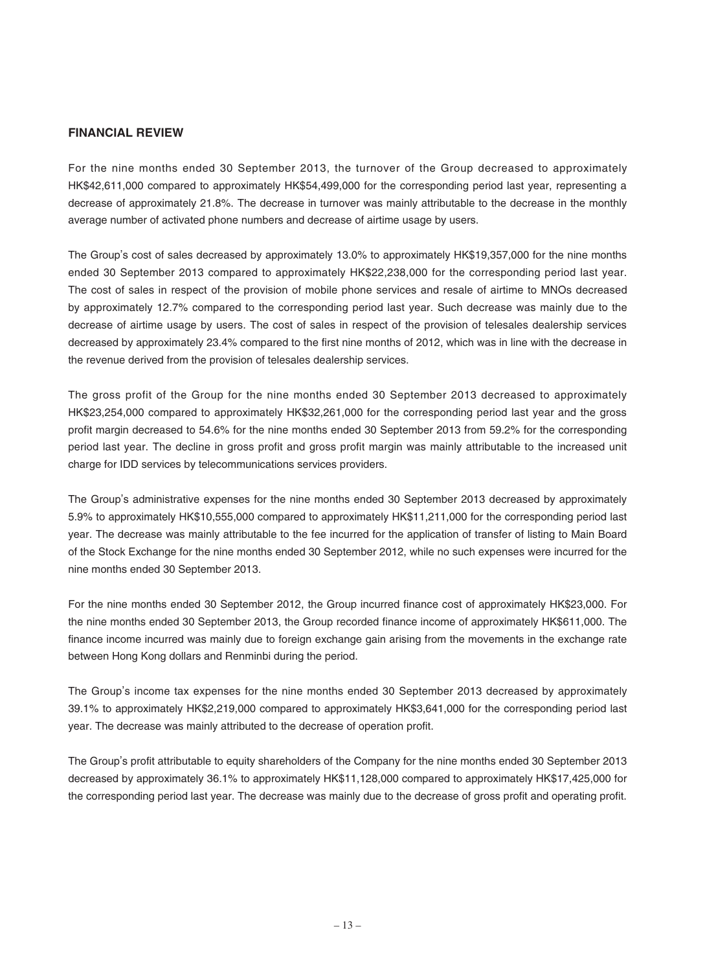#### **FINANCIAL REVIEW**

For the nine months ended 30 September 2013, the turnover of the Group decreased to approximately HK\$42,611,000 compared to approximately HK\$54,499,000 for the corresponding period last year, representing a decrease of approximately 21.8%. The decrease in turnover was mainly attributable to the decrease in the monthly average number of activated phone numbers and decrease of airtime usage by users.

The Group's cost of sales decreased by approximately 13.0% to approximately HK\$19,357,000 for the nine months ended 30 September 2013 compared to approximately HK\$22,238,000 for the corresponding period last year. The cost of sales in respect of the provision of mobile phone services and resale of airtime to MNOs decreased by approximately 12.7% compared to the corresponding period last year. Such decrease was mainly due to the decrease of airtime usage by users. The cost of sales in respect of the provision of telesales dealership services decreased by approximately 23.4% compared to the first nine months of 2012, which was in line with the decrease in the revenue derived from the provision of telesales dealership services.

The gross profit of the Group for the nine months ended 30 September 2013 decreased to approximately HK\$23,254,000 compared to approximately HK\$32,261,000 for the corresponding period last year and the gross profit margin decreased to 54.6% for the nine months ended 30 September 2013 from 59.2% for the corresponding period last year. The decline in gross profit and gross profit margin was mainly attributable to the increased unit charge for IDD services by telecommunications services providers.

The Group's administrative expenses for the nine months ended 30 September 2013 decreased by approximately 5.9% to approximately HK\$10,555,000 compared to approximately HK\$11,211,000 for the corresponding period last year. The decrease was mainly attributable to the fee incurred for the application of transfer of listing to Main Board of the Stock Exchange for the nine months ended 30 September 2012, while no such expenses were incurred for the nine months ended 30 September 2013.

For the nine months ended 30 September 2012, the Group incurred finance cost of approximately HK\$23,000. For the nine months ended 30 September 2013, the Group recorded finance income of approximately HK\$611,000. The finance income incurred was mainly due to foreign exchange gain arising from the movements in the exchange rate between Hong Kong dollars and Renminbi during the period.

The Group's income tax expenses for the nine months ended 30 September 2013 decreased by approximately 39.1% to approximately HK\$2,219,000 compared to approximately HK\$3,641,000 for the corresponding period last year. The decrease was mainly attributed to the decrease of operation profit.

The Group's profit attributable to equity shareholders of the Company for the nine months ended 30 September 2013 decreased by approximately 36.1% to approximately HK\$11,128,000 compared to approximately HK\$17,425,000 for the corresponding period last year. The decrease was mainly due to the decrease of gross profit and operating profit.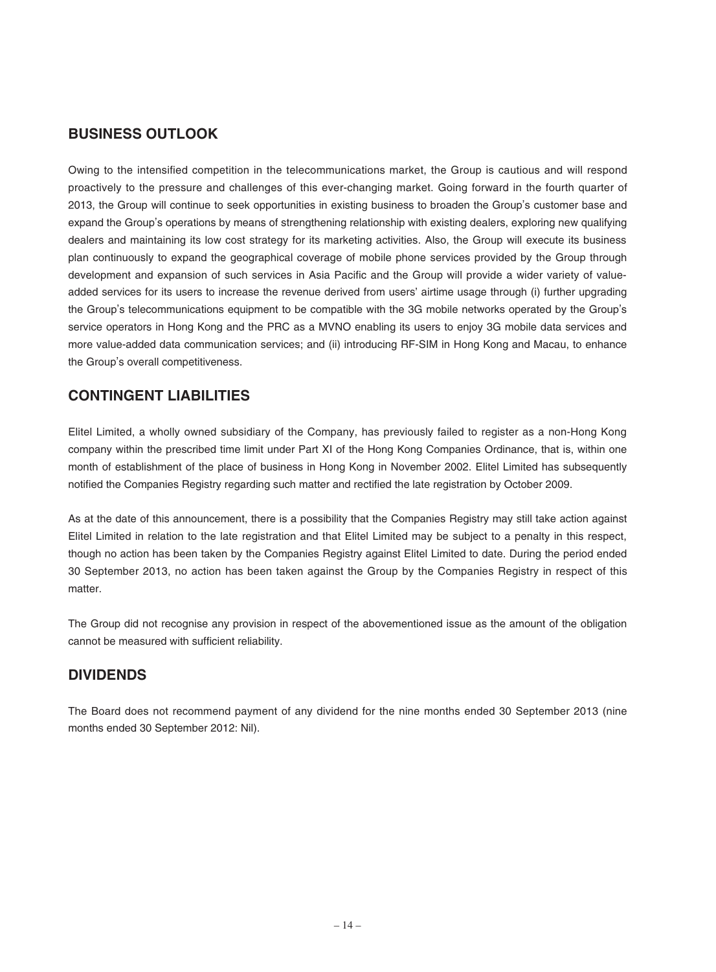### **BUSINESS OUTLOOK**

Owing to the intensified competition in the telecommunications market, the Group is cautious and will respond proactively to the pressure and challenges of this ever-changing market. Going forward in the fourth quarter of 2013, the Group will continue to seek opportunities in existing business to broaden the Group's customer base and expand the Group's operations by means of strengthening relationship with existing dealers, exploring new qualifying dealers and maintaining its low cost strategy for its marketing activities. Also, the Group will execute its business plan continuously to expand the geographical coverage of mobile phone services provided by the Group through development and expansion of such services in Asia Pacific and the Group will provide a wider variety of valueadded services for its users to increase the revenue derived from users' airtime usage through (i) further upgrading the Group's telecommunications equipment to be compatible with the 3G mobile networks operated by the Group's service operators in Hong Kong and the PRC as a MVNO enabling its users to enjoy 3G mobile data services and more value-added data communication services; and (ii) introducing RF-SIM in Hong Kong and Macau, to enhance the Group's overall competitiveness.

### **CONTINGENT LIABILITIES**

Elitel Limited, a wholly owned subsidiary of the Company, has previously failed to register as a non-Hong Kong company within the prescribed time limit under Part XI of the Hong Kong Companies Ordinance, that is, within one month of establishment of the place of business in Hong Kong in November 2002. Elitel Limited has subsequently notified the Companies Registry regarding such matter and rectified the late registration by October 2009.

As at the date of this announcement, there is a possibility that the Companies Registry may still take action against Elitel Limited in relation to the late registration and that Elitel Limited may be subject to a penalty in this respect, though no action has been taken by the Companies Registry against Elitel Limited to date. During the period ended 30 September 2013, no action has been taken against the Group by the Companies Registry in respect of this matter.

The Group did not recognise any provision in respect of the abovementioned issue as the amount of the obligation cannot be measured with sufficient reliability.

### **DIVIDENDS**

The Board does not recommend payment of any dividend for the nine months ended 30 September 2013 (nine months ended 30 September 2012: Nil).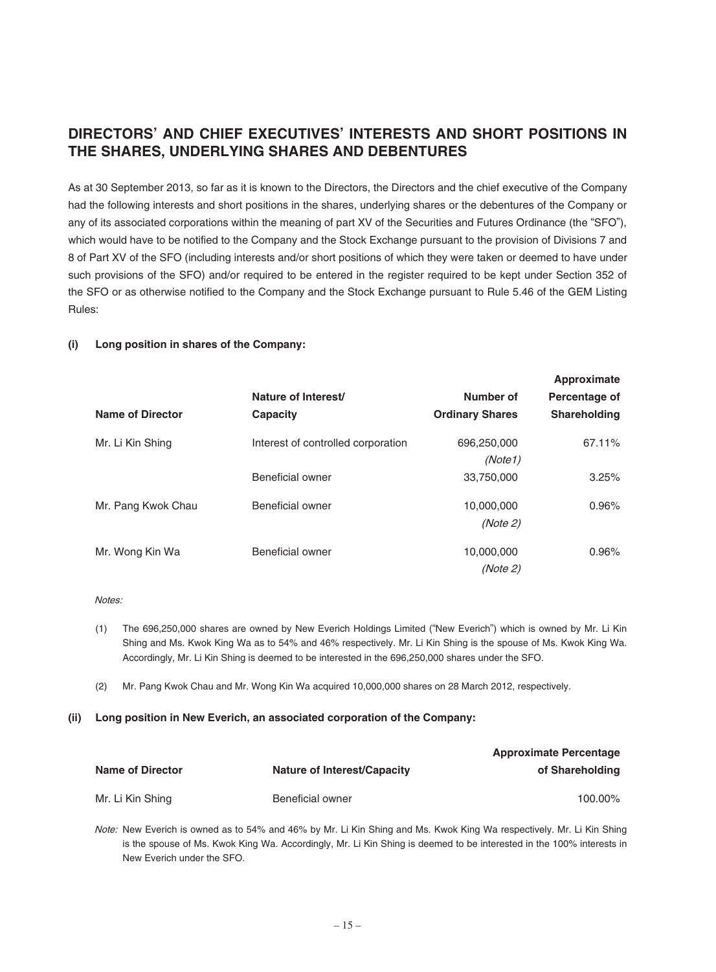# **DIRECTORS' AND CHIEF EXECUTIVES' INTERESTS AND SHORT POSITIONS IN THE SHARES, UNDERLYING SHARES AND DEBENTURES**

As at 30 September 2013, so far as it is known to the Directors, the Directors and the chief executive of the Company had the following interests and short positions in the shares, underlying shares or the debentures of the Company or any of its associated corporations within the meaning of part XV of the Securities and Futures Ordinance (the "SFO"), which would have to be notified to the Company and the Stock Exchange pursuant to the provision of Divisions 7 and 8 of Part XV of the SFO (including interests and/or short positions of which they were taken or deemed to have under such provisions of the SFO) and/or required to be entered in the register required to be kept under Section 352 of the SFO or as otherwise notified to the Company and the Stock Exchange pursuant to Rule 5.46 of the GEM Listing Rules:

#### **(i) Long position in shares of the Company:**

| Name of Director   | Nature of Interest/<br>Capacity    | Number of<br><b>Ordinary Shares</b> | Approximate<br>Percentage of<br><b>Shareholding</b> |
|--------------------|------------------------------------|-------------------------------------|-----------------------------------------------------|
| Mr. Li Kin Shing   | Interest of controlled corporation | 696,250,000<br>(Note1)              | 67.11%                                              |
|                    | Beneficial owner                   | 33,750,000                          | 3.25%                                               |
| Mr. Pang Kwok Chau | Beneficial owner                   | 10,000,000<br>(Note 2)              | $0.96\%$                                            |
| Mr. Wong Kin Wa    | Beneficial owner                   | 10,000,000<br>(Note 2)              | 0.96%                                               |

#### Notes:

- (1) The 696,250,000 shares are owned by New Everich Holdings Limited ("New Everich") which is owned by Mr. Li Kin Shing and Ms. Kwok King Wa as to 54% and 46% respectively. Mr. Li Kin Shing is the spouse of Ms. Kwok King Wa. Accordingly, Mr. Li Kin Shing is deemed to be interested in the 696,250,000 shares under the SFO.
- (2) Mr. Pang Kwok Chau and Mr. Wong Kin Wa acquired 10,000,000 shares on 28 March 2012, respectively.

#### **(ii) Long position in New Everich, an associated corporation of the Company:**

|                         |                                    | <b>Approximate Percentage</b> |
|-------------------------|------------------------------------|-------------------------------|
| <b>Name of Director</b> | <b>Nature of Interest/Capacity</b> | of Shareholding               |
| Mr. Li Kin Shing        | Beneficial owner                   | 100.00%                       |

Note: New Everich is owned as to 54% and 46% by Mr. Li Kin Shing and Ms. Kwok King Wa respectively. Mr. Li Kin Shing is the spouse of Ms. Kwok King Wa. Accordingly, Mr. Li Kin Shing is deemed to be interested in the 100% interests in New Everich under the SFO.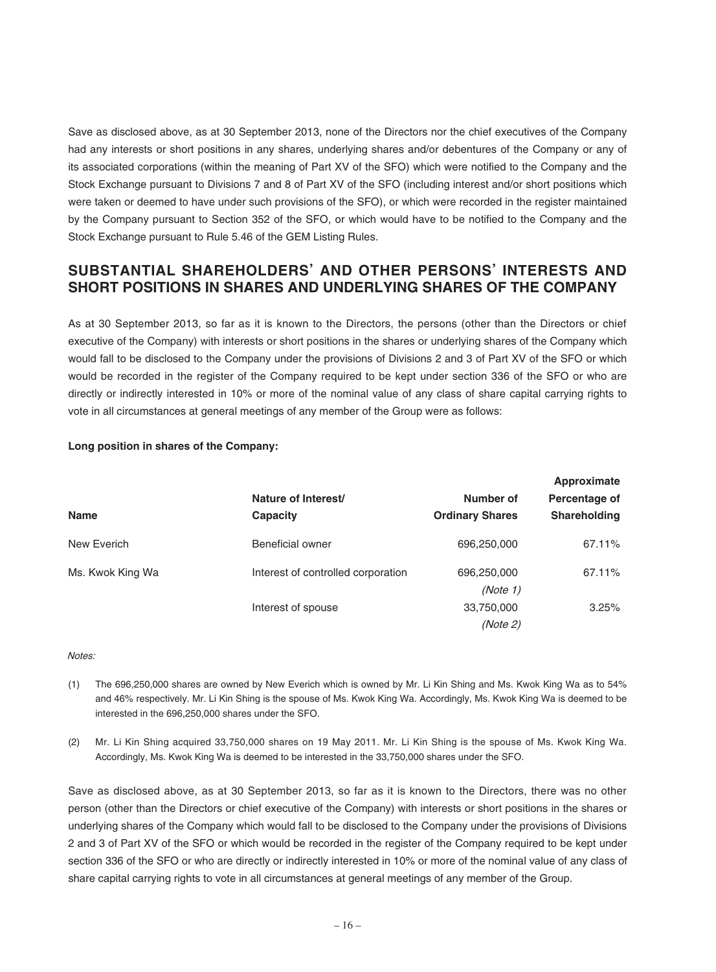Save as disclosed above, as at 30 September 2013, none of the Directors nor the chief executives of the Company had any interests or short positions in any shares, underlying shares and/or debentures of the Company or any of its associated corporations (within the meaning of Part XV of the SFO) which were notified to the Company and the Stock Exchange pursuant to Divisions 7 and 8 of Part XV of the SFO (including interest and/or short positions which were taken or deemed to have under such provisions of the SFO), or which were recorded in the register maintained by the Company pursuant to Section 352 of the SFO, or which would have to be notified to the Company and the Stock Exchange pursuant to Rule 5.46 of the GEM Listing Rules.

## **SUBSTANTIAL SHAREHOLDERS' AND OTHER PERSONS' INTERESTS AND SHORT POSITIONS IN SHARES AND UNDERLYING SHARES OF THE COMPANY**

As at 30 September 2013, so far as it is known to the Directors, the persons (other than the Directors or chief executive of the Company) with interests or short positions in the shares or underlying shares of the Company which would fall to be disclosed to the Company under the provisions of Divisions 2 and 3 of Part XV of the SFO or which would be recorded in the register of the Company required to be kept under section 336 of the SFO or who are directly or indirectly interested in 10% or more of the nominal value of any class of share capital carrying rights to vote in all circumstances at general meetings of any member of the Group were as follows:

| <b>Name</b>      |                                    | Approximate                         |                               |
|------------------|------------------------------------|-------------------------------------|-------------------------------|
|                  | Nature of Interest/<br>Capacity    | Number of<br><b>Ordinary Shares</b> | Percentage of<br>Shareholding |
|                  |                                    |                                     |                               |
| Ms. Kwok King Wa | Interest of controlled corporation | 696,250,000                         | 67.11%                        |
|                  |                                    | (Note 1)                            |                               |
|                  | Interest of spouse                 | 33,750,000                          | 3.25%                         |
|                  |                                    | (Note 2)                            |                               |

#### **Long position in shares of the Company:**

#### Notes:

- (1) The 696,250,000 shares are owned by New Everich which is owned by Mr. Li Kin Shing and Ms. Kwok King Wa as to 54% and 46% respectively. Mr. Li Kin Shing is the spouse of Ms. Kwok King Wa. Accordingly, Ms. Kwok King Wa is deemed to be interested in the 696,250,000 shares under the SFO.
- (2) Mr. Li Kin Shing acquired 33,750,000 shares on 19 May 2011. Mr. Li Kin Shing is the spouse of Ms. Kwok King Wa. Accordingly, Ms. Kwok King Wa is deemed to be interested in the 33,750,000 shares under the SFO.

Save as disclosed above, as at 30 September 2013, so far as it is known to the Directors, there was no other person (other than the Directors or chief executive of the Company) with interests or short positions in the shares or underlying shares of the Company which would fall to be disclosed to the Company under the provisions of Divisions 2 and 3 of Part XV of the SFO or which would be recorded in the register of the Company required to be kept under section 336 of the SFO or who are directly or indirectly interested in 10% or more of the nominal value of any class of share capital carrying rights to vote in all circumstances at general meetings of any member of the Group.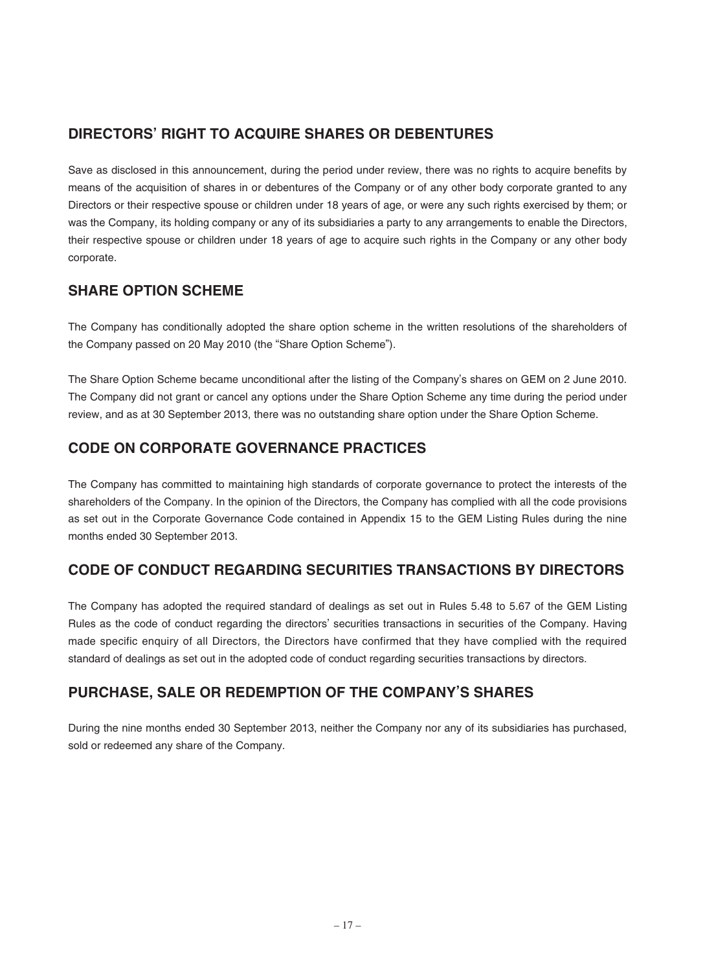# **DIRECTORS' RIGHT TO ACQUIRE SHARES OR DEBENTURES**

Save as disclosed in this announcement, during the period under review, there was no rights to acquire benefits by means of the acquisition of shares in or debentures of the Company or of any other body corporate granted to any Directors or their respective spouse or children under 18 years of age, or were any such rights exercised by them; or was the Company, its holding company or any of its subsidiaries a party to any arrangements to enable the Directors, their respective spouse or children under 18 years of age to acquire such rights in the Company or any other body corporate.

### **SHARE OPTION SCHEME**

The Company has conditionally adopted the share option scheme in the written resolutions of the shareholders of the Company passed on 20 May 2010 (the "Share Option Scheme").

The Share Option Scheme became unconditional after the listing of the Company's shares on GEM on 2 June 2010. The Company did not grant or cancel any options under the Share Option Scheme any time during the period under review, and as at 30 September 2013, there was no outstanding share option under the Share Option Scheme.

# **CODE ON CORPORATE GOVERNANCE PRACTICES**

The Company has committed to maintaining high standards of corporate governance to protect the interests of the shareholders of the Company. In the opinion of the Directors, the Company has complied with all the code provisions as set out in the Corporate Governance Code contained in Appendix 15 to the GEM Listing Rules during the nine months ended 30 September 2013.

# **CODE OF CONDUCT REGARDING SECURITIES TRANSACTIONS BY DIRECTORS**

The Company has adopted the required standard of dealings as set out in Rules 5.48 to 5.67 of the GEM Listing Rules as the code of conduct regarding the directors' securities transactions in securities of the Company. Having made specific enquiry of all Directors, the Directors have confirmed that they have complied with the required standard of dealings as set out in the adopted code of conduct regarding securities transactions by directors.

# **PURCHASE, SALE OR REDEMPTION OF THE COMPANY'S SHARES**

During the nine months ended 30 September 2013, neither the Company nor any of its subsidiaries has purchased, sold or redeemed any share of the Company.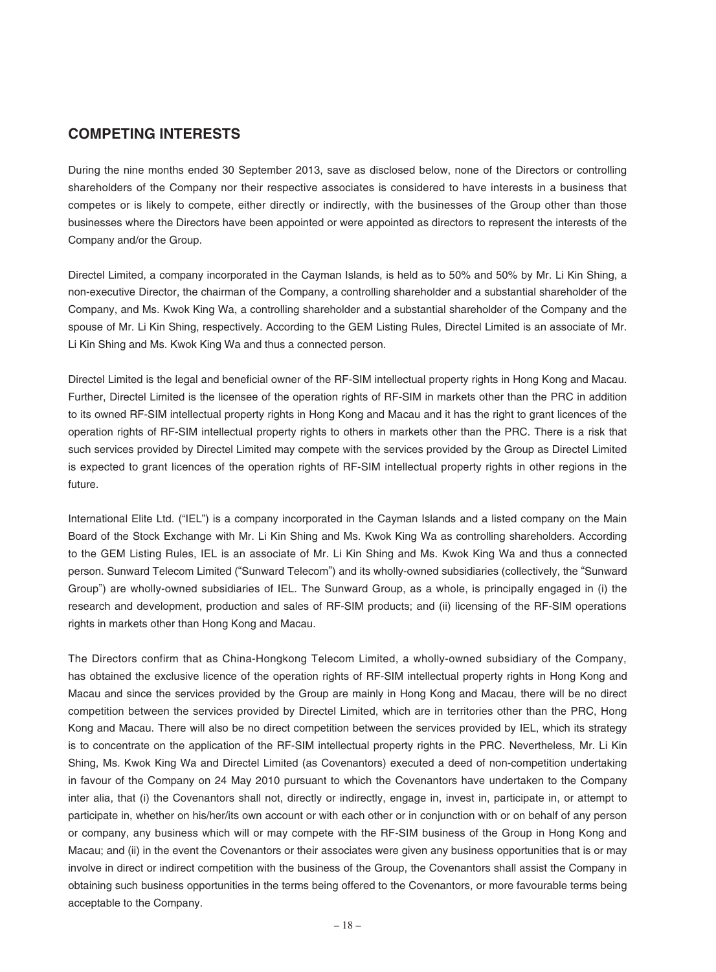### **COMPETING INTERESTS**

During the nine months ended 30 September 2013, save as disclosed below, none of the Directors or controlling shareholders of the Company nor their respective associates is considered to have interests in a business that competes or is likely to compete, either directly or indirectly, with the businesses of the Group other than those businesses where the Directors have been appointed or were appointed as directors to represent the interests of the Company and/or the Group.

Directel Limited, a company incorporated in the Cayman Islands, is held as to 50% and 50% by Mr. Li Kin Shing, a non-executive Director, the chairman of the Company, a controlling shareholder and a substantial shareholder of the Company, and Ms. Kwok King Wa, a controlling shareholder and a substantial shareholder of the Company and the spouse of Mr. Li Kin Shing, respectively. According to the GEM Listing Rules, Directel Limited is an associate of Mr. Li Kin Shing and Ms. Kwok King Wa and thus a connected person.

Directel Limited is the legal and beneficial owner of the RF-SIM intellectual property rights in Hong Kong and Macau. Further, Directel Limited is the licensee of the operation rights of RF-SIM in markets other than the PRC in addition to its owned RF-SIM intellectual property rights in Hong Kong and Macau and it has the right to grant licences of the operation rights of RF-SIM intellectual property rights to others in markets other than the PRC. There is a risk that such services provided by Directel Limited may compete with the services provided by the Group as Directel Limited is expected to grant licences of the operation rights of RF-SIM intellectual property rights in other regions in the future.

International Elite Ltd. ("IEL") is a company incorporated in the Cayman Islands and a listed company on the Main Board of the Stock Exchange with Mr. Li Kin Shing and Ms. Kwok King Wa as controlling shareholders. According to the GEM Listing Rules, IEL is an associate of Mr. Li Kin Shing and Ms. Kwok King Wa and thus a connected person. Sunward Telecom Limited ("Sunward Telecom") and its wholly-owned subsidiaries (collectively, the "Sunward Group") are wholly-owned subsidiaries of IEL. The Sunward Group, as a whole, is principally engaged in (i) the research and development, production and sales of RF-SIM products; and (ii) licensing of the RF-SIM operations rights in markets other than Hong Kong and Macau.

The Directors confirm that as China-Hongkong Telecom Limited, a wholly-owned subsidiary of the Company, has obtained the exclusive licence of the operation rights of RF-SIM intellectual property rights in Hong Kong and Macau and since the services provided by the Group are mainly in Hong Kong and Macau, there will be no direct competition between the services provided by Directel Limited, which are in territories other than the PRC, Hong Kong and Macau. There will also be no direct competition between the services provided by IEL, which its strategy is to concentrate on the application of the RF-SIM intellectual property rights in the PRC. Nevertheless, Mr. Li Kin Shing, Ms. Kwok King Wa and Directel Limited (as Covenantors) executed a deed of non-competition undertaking in favour of the Company on 24 May 2010 pursuant to which the Covenantors have undertaken to the Company inter alia, that (i) the Covenantors shall not, directly or indirectly, engage in, invest in, participate in, or attempt to participate in, whether on his/her/its own account or with each other or in conjunction with or on behalf of any person or company, any business which will or may compete with the RF-SIM business of the Group in Hong Kong and Macau; and (ii) in the event the Covenantors or their associates were given any business opportunities that is or may involve in direct or indirect competition with the business of the Group, the Covenantors shall assist the Company in obtaining such business opportunities in the terms being offered to the Covenantors, or more favourable terms being acceptable to the Company.